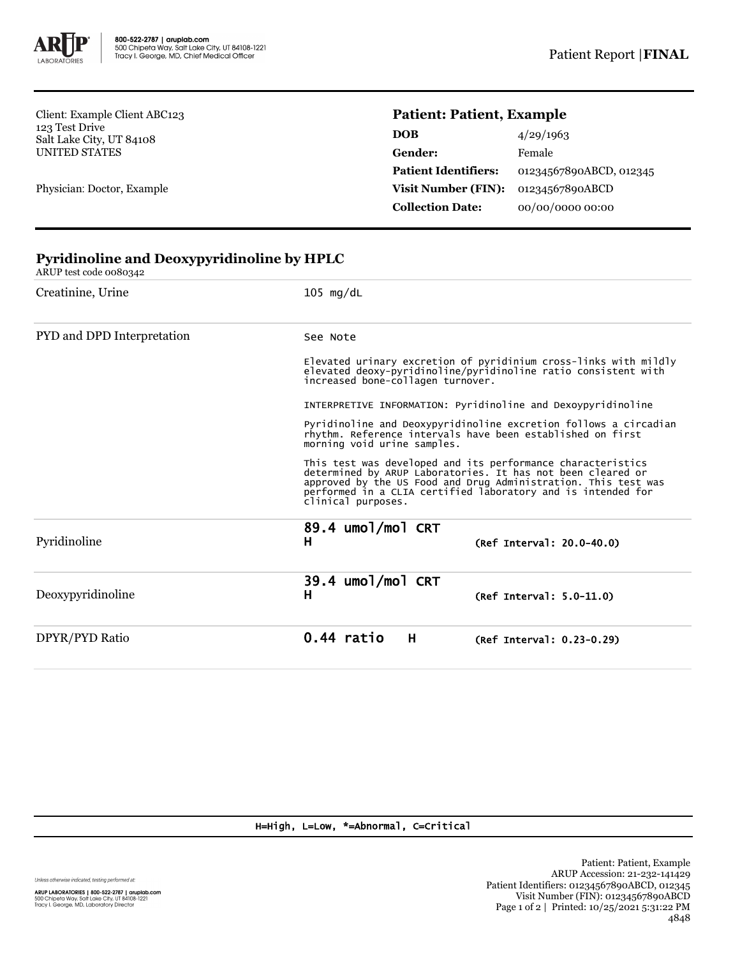

Client: Example Client ABC123 123 Test Drive Salt Lake City, UT 84108 UNITED STATES

Physician: Doctor, Example

## **Patient: Patient, Example**

| <b>DOB</b>                  | 4/29/1963               |
|-----------------------------|-------------------------|
| Gender:                     | Female                  |
| <b>Patient Identifiers:</b> | 01234567890ABCD, 012345 |
| Visit Number (FIN):         | 01234567890ABCD         |
| <b>Collection Date:</b>     | 00/00/0000 00:00        |

| Creatinine, Urine          | $105 \text{ mg/dL}$                                                                                                                                                                                                                                                                |  |  |
|----------------------------|------------------------------------------------------------------------------------------------------------------------------------------------------------------------------------------------------------------------------------------------------------------------------------|--|--|
| PYD and DPD Interpretation | See Note                                                                                                                                                                                                                                                                           |  |  |
|                            | Elevated urinary excretion of pyridinium cross-links with mildly<br>elevated deoxy-pyridinoline/pyridinoline ratio consistent with<br>increased bone-collagen turnover.                                                                                                            |  |  |
|                            | INTERPRETIVE INFORMATION: Pyridinoline and Dexoypyridinoline                                                                                                                                                                                                                       |  |  |
|                            | Pyridinoline and Deoxypyridinoline excretion follows a circadian<br>rhythm. Reference intervals have been established on first<br>morning void urine samples.                                                                                                                      |  |  |
|                            | This test was developed and its performance characteristics<br>determined by ARUP Laboratories. It has not been cleared or<br>approved by the US Food and Drug Administration. This test was<br>performed in a CLIA certified laboratory and is intended for<br>clinical purposes. |  |  |
| Pyridinoline               | 89.4 umol/mol CRT<br>н<br>$(Ref Interval: 20.0-40.0)$                                                                                                                                                                                                                              |  |  |
| Deoxypyridinoline          | 39.4 umol/mol CRT<br>Н<br>(Ref Interval: 5.0-11.0)                                                                                                                                                                                                                                 |  |  |
| DPYR/PYD Ratio             | 0.44 ratio<br>H<br>(Ref Interval: 0.23-0.29)                                                                                                                                                                                                                                       |  |  |

## **Pyridinoline and Deoxypyridinoline by HPLC** ARUP test code 0080342

H=High, L=Low, \*=Abnormal, C=Critical

Unless otherwise indicated, testing performed at: